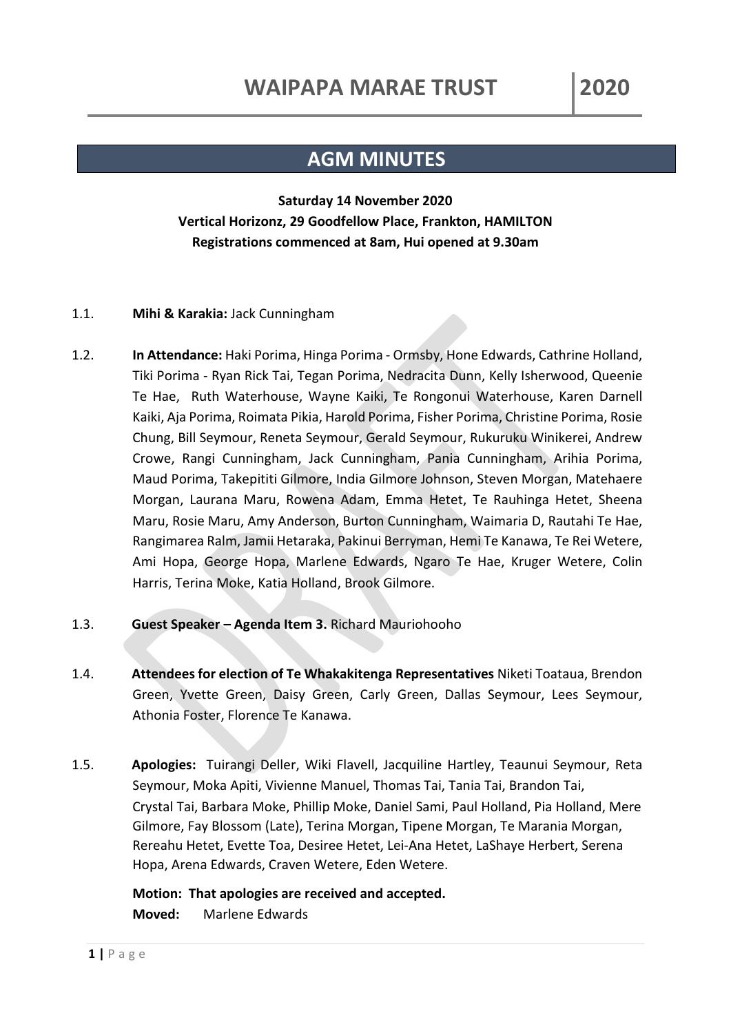## **AGM MINUTES**

## **Saturday 14 November 2020 Vertical Horizonz, 29 Goodfellow Place, Frankton, HAMILTON Registrations commenced at 8am, Hui opened at 9.30am**

## 1.1. **Mihi & Karakia:** Jack Cunningham

- 1.2. **In Attendance:** Haki Porima, Hinga Porima Ormsby, Hone Edwards, Cathrine Holland, Tiki Porima - Ryan Rick Tai, Tegan Porima, Nedracita Dunn, Kelly Isherwood, Queenie Te Hae, Ruth Waterhouse, Wayne Kaiki, Te Rongonui Waterhouse, Karen Darnell Kaiki, Aja Porima, Roimata Pikia, Harold Porima, Fisher Porima, Christine Porima, Rosie Chung, Bill Seymour, Reneta Seymour, Gerald Seymour, Rukuruku Winikerei, Andrew Crowe, Rangi Cunningham, Jack Cunningham, Pania Cunningham, Arihia Porima, Maud Porima, Takepititi Gilmore, India Gilmore Johnson, Steven Morgan, Matehaere Morgan, Laurana Maru, Rowena Adam, Emma Hetet, Te Rauhinga Hetet, Sheena Maru, Rosie Maru, Amy Anderson, Burton Cunningham, Waimaria D, Rautahi Te Hae, Rangimarea Ralm, Jamii Hetaraka, Pakinui Berryman, Hemi Te Kanawa, Te Rei Wetere, Ami Hopa, George Hopa, Marlene Edwards, Ngaro Te Hae, Kruger Wetere, Colin Harris, Terina Moke, Katia Holland, Brook Gilmore.
- 1.3. **Guest Speaker – Agenda Item 3.** Richard Mauriohooho
- 1.4. **Attendees for election of Te Whakakitenga Representatives** Niketi Toataua, Brendon Green, Yvette Green, Daisy Green, Carly Green, Dallas Seymour, Lees Seymour, Athonia Foster, Florence Te Kanawa.
- 1.5. **Apologies:** Tuirangi Deller, Wiki Flavell, Jacquiline Hartley, Teaunui Seymour, Reta Seymour, Moka Apiti, Vivienne Manuel, Thomas Tai, Tania Tai, Brandon Tai, Crystal Tai, Barbara Moke, Phillip Moke, Daniel Sami, Paul Holland, Pia Holland, Mere Gilmore, Fay Blossom (Late), Terina Morgan, Tipene Morgan, Te Marania Morgan, Rereahu Hetet, Evette Toa, Desiree Hetet, Lei-Ana Hetet, LaShaye Herbert, Serena Hopa, Arena Edwards, Craven Wetere, Eden Wetere.

**Motion: That apologies are received and accepted. Moved:** Marlene Edwards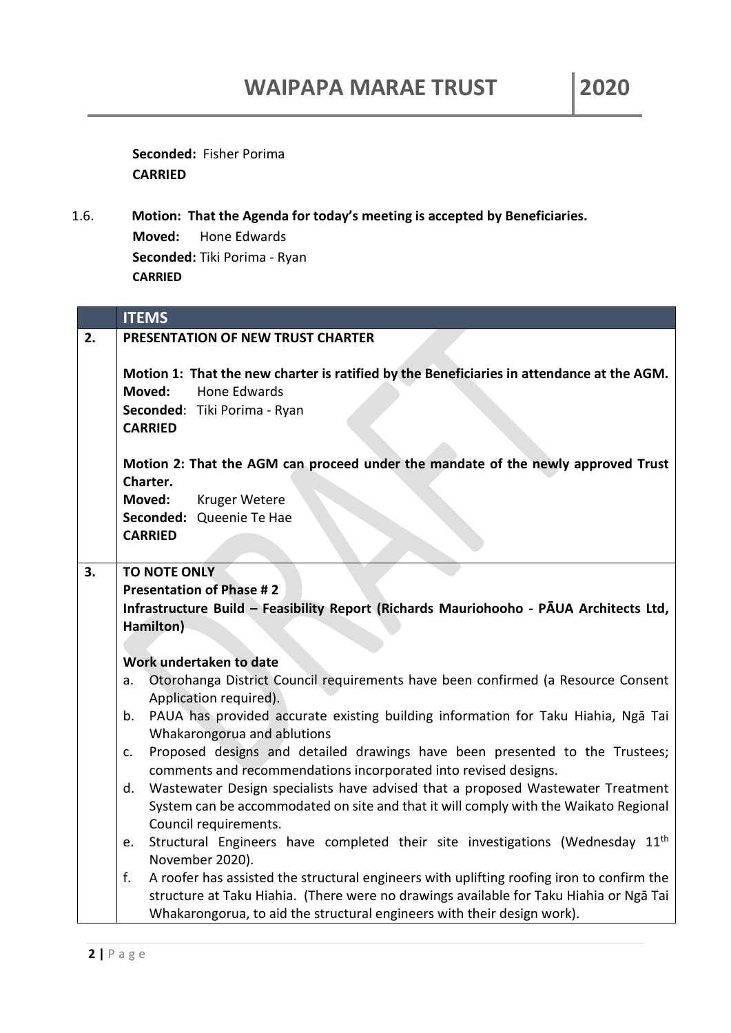**Seconded:** Fisher Porima **CARRIED**

1.6. **Motion: That the Agenda for today's meeting is accepted by Beneficiaries. Moved:** Hone Edwards **Seconded:** Tiki Porima - Ryan **CARRIED** 

|    | <b>ITEMS</b>                                                                                                                                                                 |
|----|------------------------------------------------------------------------------------------------------------------------------------------------------------------------------|
| 2. | PRESENTATION OF NEW TRUST CHARTER                                                                                                                                            |
|    | Motion 1: That the new charter is ratified by the Beneficiaries in attendance at the AGM.<br><b>Hone Edwards</b><br>Moved:<br>Seconded: Tiki Porima - Ryan<br><b>CARRIED</b> |
|    | Motion 2: That the AGM can proceed under the mandate of the newly approved Trust<br>Charter.                                                                                 |
|    | Moved:<br>Kruger Wetere                                                                                                                                                      |
|    | Seconded: Queenie Te Hae<br><b>CARRIED</b>                                                                                                                                   |
|    |                                                                                                                                                                              |
| 3. | <b>TO NOTE ONLY</b>                                                                                                                                                          |
|    | <b>Presentation of Phase #2</b>                                                                                                                                              |
|    | Infrastructure Build - Feasibility Report (Richards Mauriohooho - PAUA Architects Ltd,                                                                                       |
|    | Hamilton)                                                                                                                                                                    |
|    |                                                                                                                                                                              |
|    | Work undertaken to date<br>Otorohanga District Council requirements have been confirmed (a Resource Consent<br>a.                                                            |
|    | Application required).                                                                                                                                                       |
|    | PAUA has provided accurate existing building information for Taku Hiahia, Nga Tai<br>b.<br>Whakarongorua and ablutions                                                       |
|    | Proposed designs and detailed drawings have been presented to the Trustees;<br>$C_{\star}$<br>comments and recommendations incorporated into revised designs.                |
|    | Wastewater Design specialists have advised that a proposed Wastewater Treatment<br>d.                                                                                        |
|    | System can be accommodated on site and that it will comply with the Waikato Regional                                                                                         |
|    | Council requirements.                                                                                                                                                        |
|    | Structural Engineers have completed their site investigations (Wednesday 11 <sup>th</sup><br>e.<br>November 2020).                                                           |
|    | f.<br>A roofer has assisted the structural engineers with uplifting roofing iron to confirm the                                                                              |
|    | structure at Taku Hiahia. (There were no drawings available for Taku Hiahia or Ngā Tai                                                                                       |
|    | Whakarongorua, to aid the structural engineers with their design work).                                                                                                      |
|    |                                                                                                                                                                              |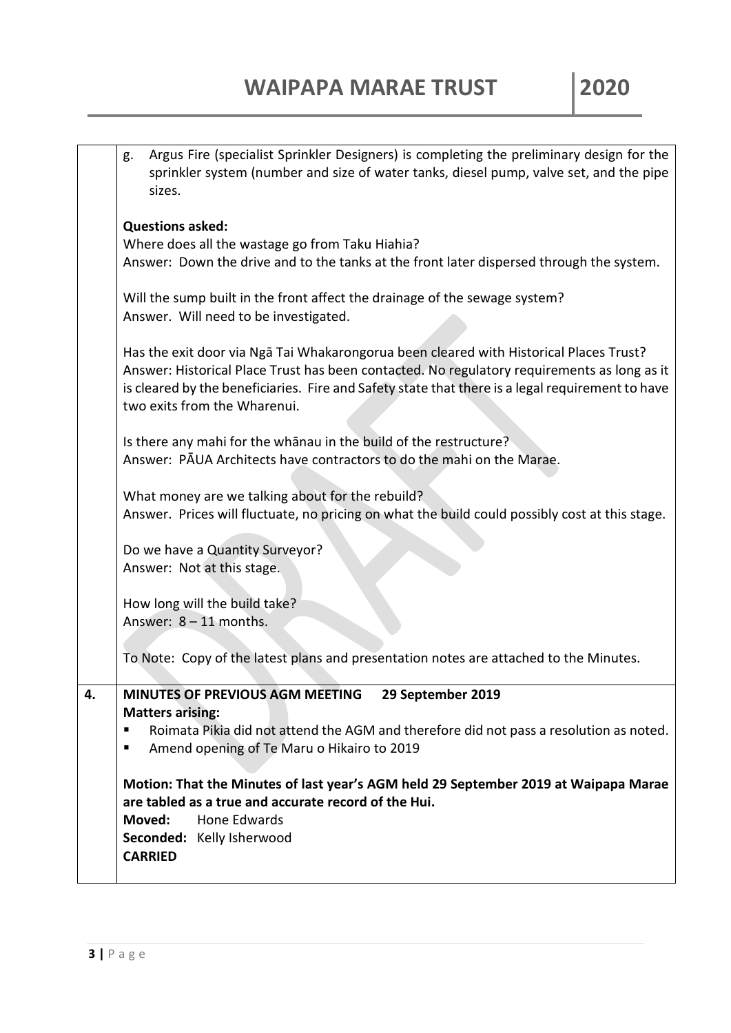|    | Argus Fire (specialist Sprinkler Designers) is completing the preliminary design for the<br>g.<br>sprinkler system (number and size of water tanks, diesel pump, valve set, and the pipe<br>sizes.                                                                                                                        |
|----|---------------------------------------------------------------------------------------------------------------------------------------------------------------------------------------------------------------------------------------------------------------------------------------------------------------------------|
|    | <b>Questions asked:</b>                                                                                                                                                                                                                                                                                                   |
|    | Where does all the wastage go from Taku Hiahia?                                                                                                                                                                                                                                                                           |
|    | Answer: Down the drive and to the tanks at the front later dispersed through the system.                                                                                                                                                                                                                                  |
|    | Will the sump built in the front affect the drainage of the sewage system?<br>Answer. Will need to be investigated.                                                                                                                                                                                                       |
|    | Has the exit door via Ngā Tai Whakarongorua been cleared with Historical Places Trust?<br>Answer: Historical Place Trust has been contacted. No regulatory requirements as long as it<br>is cleared by the beneficiaries. Fire and Safety state that there is a legal requirement to have<br>two exits from the Wharenui. |
|    | Is there any mahi for the whanau in the build of the restructure?<br>Answer: PAUA Architects have contractors to do the mahi on the Marae.                                                                                                                                                                                |
|    | What money are we talking about for the rebuild?<br>Answer. Prices will fluctuate, no pricing on what the build could possibly cost at this stage.                                                                                                                                                                        |
|    | Do we have a Quantity Surveyor?<br>Answer: Not at this stage.                                                                                                                                                                                                                                                             |
|    | How long will the build take?                                                                                                                                                                                                                                                                                             |
|    | Answer: $8 - 11$ months.                                                                                                                                                                                                                                                                                                  |
|    | To Note: Copy of the latest plans and presentation notes are attached to the Minutes.                                                                                                                                                                                                                                     |
| 4. | MINUTES OF PREVIOUS AGM MEETING 29 September 2019                                                                                                                                                                                                                                                                         |
|    | <b>Matters arising:</b>                                                                                                                                                                                                                                                                                                   |
|    | Roimata Pikia did not attend the AGM and therefore did not pass a resolution as noted.<br>п<br>Amend opening of Te Maru o Hikairo to 2019<br>п                                                                                                                                                                            |
|    | Motion: That the Minutes of last year's AGM held 29 September 2019 at Waipapa Marae                                                                                                                                                                                                                                       |
|    | are tabled as a true and accurate record of the Hui.                                                                                                                                                                                                                                                                      |
|    | Moved:<br>Hone Edwards                                                                                                                                                                                                                                                                                                    |
|    | Seconded: Kelly Isherwood<br><b>CARRIED</b>                                                                                                                                                                                                                                                                               |
|    |                                                                                                                                                                                                                                                                                                                           |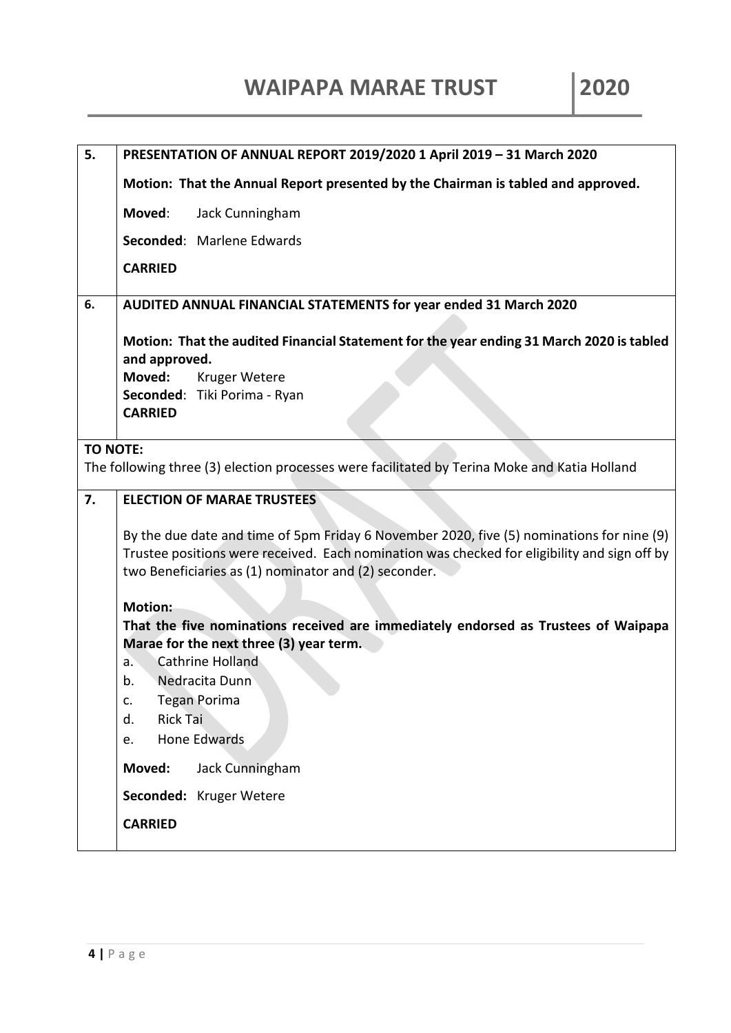| 5.              | PRESENTATION OF ANNUAL REPORT 2019/2020 1 April 2019 - 31 March 2020                                                                                                                                                                              |
|-----------------|---------------------------------------------------------------------------------------------------------------------------------------------------------------------------------------------------------------------------------------------------|
|                 | Motion: That the Annual Report presented by the Chairman is tabled and approved.                                                                                                                                                                  |
|                 | Moved:<br>Jack Cunningham                                                                                                                                                                                                                         |
|                 | Seconded: Marlene Edwards                                                                                                                                                                                                                         |
|                 | <b>CARRIED</b>                                                                                                                                                                                                                                    |
| 6.              | AUDITED ANNUAL FINANCIAL STATEMENTS for year ended 31 March 2020                                                                                                                                                                                  |
|                 | Motion: That the audited Financial Statement for the year ending 31 March 2020 is tabled<br>and approved.<br>Moved:<br>Kruger Wetere<br>Seconded: Tiki Porima - Ryan<br><b>CARRIED</b>                                                            |
|                 |                                                                                                                                                                                                                                                   |
| <b>TO NOTE:</b> | The following three (3) election processes were facilitated by Terina Moke and Katia Holland                                                                                                                                                      |
| 7.              | <b>ELECTION OF MARAE TRUSTEES</b>                                                                                                                                                                                                                 |
|                 | By the due date and time of 5pm Friday 6 November 2020, five (5) nominations for nine (9)<br>Trustee positions were received. Each nomination was checked for eligibility and sign off by<br>two Beneficiaries as (1) nominator and (2) seconder. |
|                 | <b>Motion:</b>                                                                                                                                                                                                                                    |
|                 | That the five nominations received are immediately endorsed as Trustees of Waipapa<br>Marae for the next three (3) year term.                                                                                                                     |
|                 | Cathrine Holland<br>a.                                                                                                                                                                                                                            |
|                 | Nedracita Dunn<br>b.                                                                                                                                                                                                                              |
|                 | <b>Tegan Porima</b><br>c.<br><b>Rick Tai</b><br>d.                                                                                                                                                                                                |
|                 | <b>Hone Edwards</b><br>e.                                                                                                                                                                                                                         |
|                 | Moved:<br>Jack Cunningham                                                                                                                                                                                                                         |
|                 | Seconded: Kruger Wetere<br><b>CARRIED</b>                                                                                                                                                                                                         |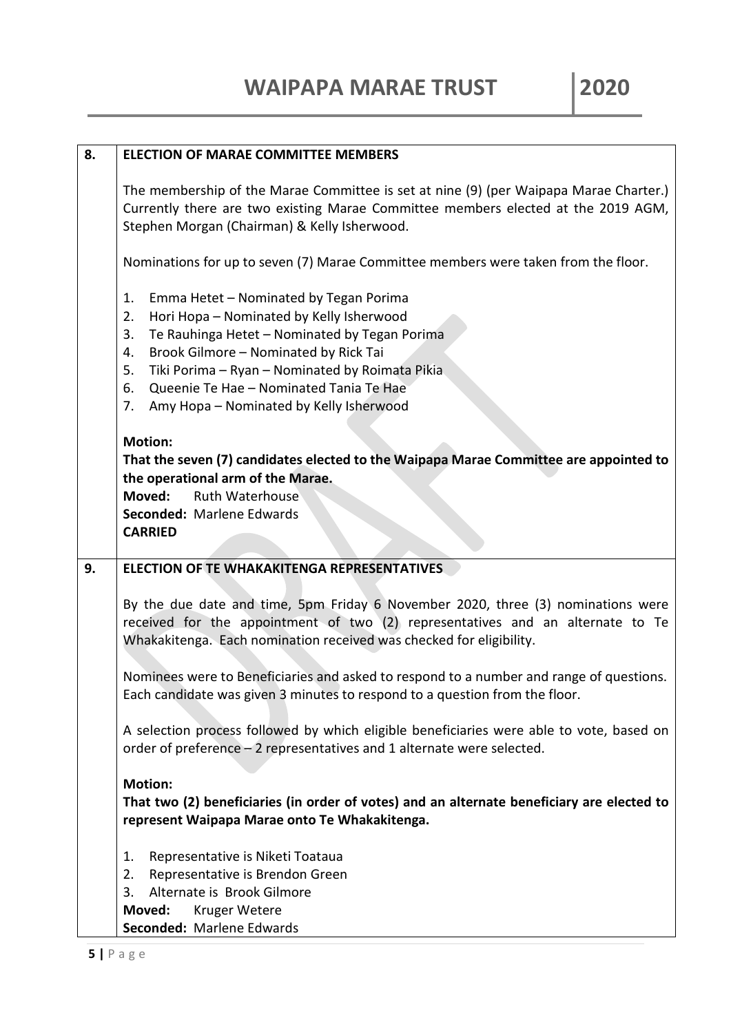| 8. | <b>ELECTION OF MARAE COMMITTEE MEMBERS</b>                                                                                                                                                                                                                                                                                                                      |
|----|-----------------------------------------------------------------------------------------------------------------------------------------------------------------------------------------------------------------------------------------------------------------------------------------------------------------------------------------------------------------|
|    | The membership of the Marae Committee is set at nine (9) (per Waipapa Marae Charter.)<br>Currently there are two existing Marae Committee members elected at the 2019 AGM,<br>Stephen Morgan (Chairman) & Kelly Isherwood.                                                                                                                                      |
|    | Nominations for up to seven (7) Marae Committee members were taken from the floor.                                                                                                                                                                                                                                                                              |
|    | Emma Hetet - Nominated by Tegan Porima<br>1.<br>Hori Hopa - Nominated by Kelly Isherwood<br>2.<br>3.<br>Te Rauhinga Hetet - Nominated by Tegan Porima<br>Brook Gilmore - Nominated by Rick Tai<br>4.<br>Tiki Porima - Ryan - Nominated by Roimata Pikia<br>5.<br>Queenie Te Hae - Nominated Tania Te Hae<br>6.<br>Amy Hopa - Nominated by Kelly Isherwood<br>7. |
|    | <b>Motion:</b><br>That the seven (7) candidates elected to the Waipapa Marae Committee are appointed to<br>the operational arm of the Marae.<br>Moved:<br><b>Ruth Waterhouse</b><br>Seconded: Marlene Edwards<br><b>CARRIED</b>                                                                                                                                 |
| 9. | <b>ELECTION OF TE WHAKAKITENGA REPRESENTATIVES</b>                                                                                                                                                                                                                                                                                                              |
|    | By the due date and time, 5pm Friday 6 November 2020, three (3) nominations were<br>received for the appointment of two (2) representatives and an alternate to Te<br>Whakakitenga. Each nomination received was checked for eligibility.                                                                                                                       |
|    | Nominees were to Beneficiaries and asked to respond to a number and range of questions.<br>Each candidate was given 3 minutes to respond to a question from the floor.                                                                                                                                                                                          |
|    | A selection process followed by which eligible beneficiaries were able to vote, based on<br>order of preference - 2 representatives and 1 alternate were selected.                                                                                                                                                                                              |
|    | <b>Motion:</b><br>That two (2) beneficiaries (in order of votes) and an alternate beneficiary are elected to<br>represent Waipapa Marae onto Te Whakakitenga.                                                                                                                                                                                                   |
|    | Representative is Niketi Toataua<br>1.<br>Representative is Brendon Green<br>2.<br>Alternate is Brook Gilmore<br>3.<br>Moved:<br><b>Kruger Wetere</b><br>Seconded: Marlene Edwards                                                                                                                                                                              |